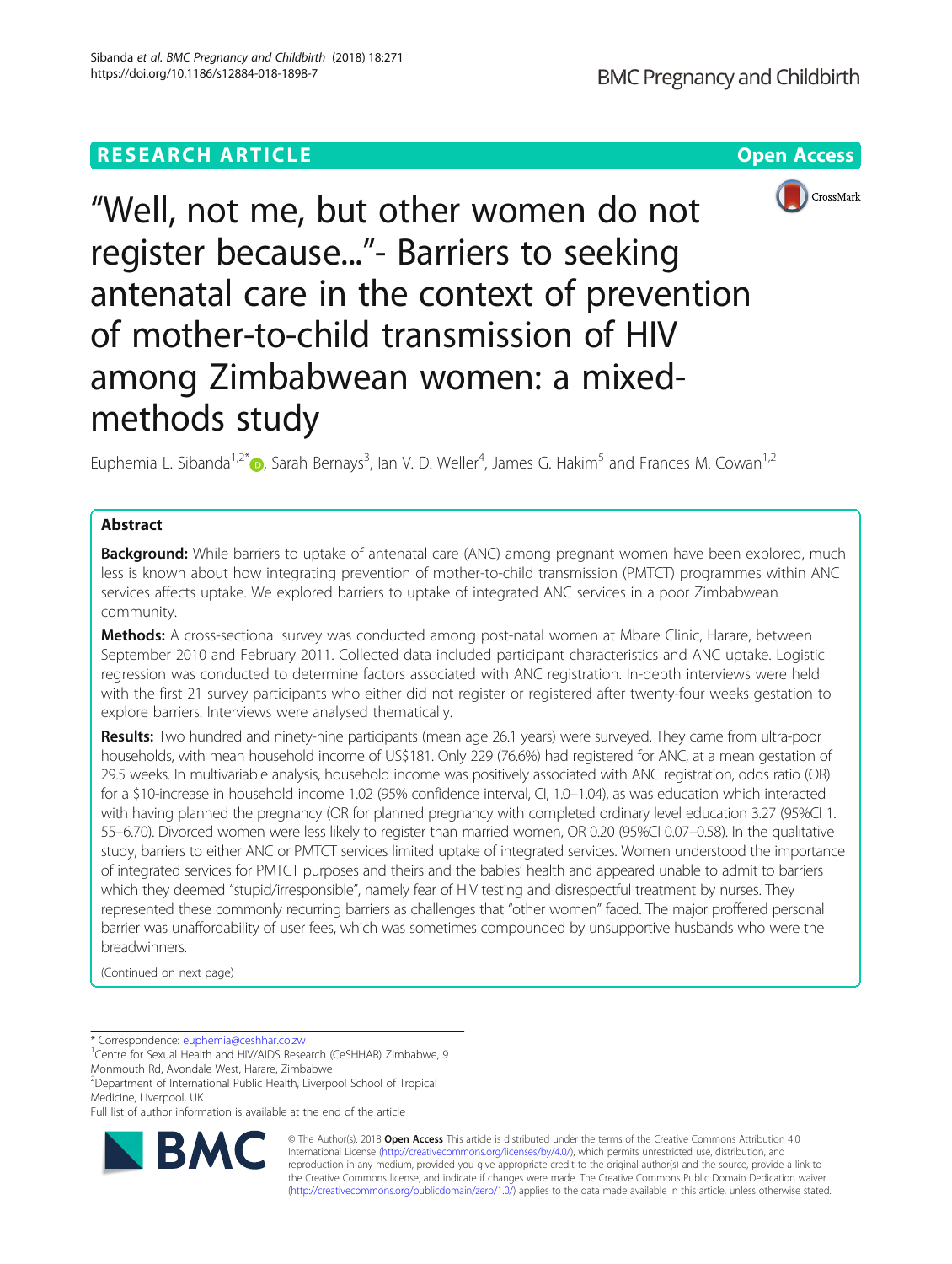# **RESEARCH ARTICLE Example 2014 12:30 The Open Access**



"Well, not me, but other women do not register because..."- Barriers to seeking antenatal care in the context of prevention of mother-to-child transmission of HIV among Zimbabwean women: a mixedmethods study

Euphemia L. Sibanda<sup>1,2[\\*](http://orcid.org/0000-0003-1754-1076)</sup> $\bullet$ , Sarah Bernays<sup>3</sup>, Ian V. D. Weller<sup>4</sup>, James G. Hakim<sup>5</sup> and Frances M. Cowan<sup>1,2</sup>

# Abstract

**Background:** While barriers to uptake of antenatal care (ANC) among pregnant women have been explored, much less is known about how integrating prevention of mother-to-child transmission (PMTCT) programmes within ANC services affects uptake. We explored barriers to uptake of integrated ANC services in a poor Zimbabwean community.

Methods: A cross-sectional survey was conducted among post-natal women at Mbare Clinic, Harare, between September 2010 and February 2011. Collected data included participant characteristics and ANC uptake. Logistic regression was conducted to determine factors associated with ANC registration. In-depth interviews were held with the first 21 survey participants who either did not register or registered after twenty-four weeks gestation to explore barriers. Interviews were analysed thematically.

Results: Two hundred and ninety-nine participants (mean age 26.1 years) were surveyed. They came from ultra-poor households, with mean household income of US\$181. Only 229 (76.6%) had registered for ANC, at a mean gestation of 29.5 weeks. In multivariable analysis, household income was positively associated with ANC registration, odds ratio (OR) for a \$10-increase in household income 1.02 (95% confidence interval, CI, 1.0–1.04), as was education which interacted with having planned the pregnancy (OR for planned pregnancy with completed ordinary level education 3.27 (95%CI 1. 55–6.70). Divorced women were less likely to register than married women, OR 0.20 (95%CI 0.07–0.58). In the qualitative study, barriers to either ANC or PMTCT services limited uptake of integrated services. Women understood the importance of integrated services for PMTCT purposes and theirs and the babies' health and appeared unable to admit to barriers which they deemed "stupid/irresponsible", namely fear of HIV testing and disrespectful treatment by nurses. They represented these commonly recurring barriers as challenges that "other women" faced. The major proffered personal barrier was unaffordability of user fees, which was sometimes compounded by unsupportive husbands who were the breadwinners.

(Continued on next page)

\* Correspondence: [euphemia@ceshhar.co.zw](mailto:euphemia@ceshhar.co.zw) <sup>1</sup>

<sup>2</sup>Department of International Public Health, Liverpool School of Tropical

Medicine, Liverpool, UK

Full list of author information is available at the end of the article



© The Author(s). 2018 Open Access This article is distributed under the terms of the Creative Commons Attribution 4.0 International License [\(http://creativecommons.org/licenses/by/4.0/](http://creativecommons.org/licenses/by/4.0/)), which permits unrestricted use, distribution, and reproduction in any medium, provided you give appropriate credit to the original author(s) and the source, provide a link to the Creative Commons license, and indicate if changes were made. The Creative Commons Public Domain Dedication waiver [\(http://creativecommons.org/publicdomain/zero/1.0/](http://creativecommons.org/publicdomain/zero/1.0/)) applies to the data made available in this article, unless otherwise stated.

<sup>&</sup>lt;sup>1</sup>Centre for Sexual Health and HIV/AIDS Research (CeSHHAR) Zimbabwe, 9 Monmouth Rd, Avondale West, Harare, Zimbabwe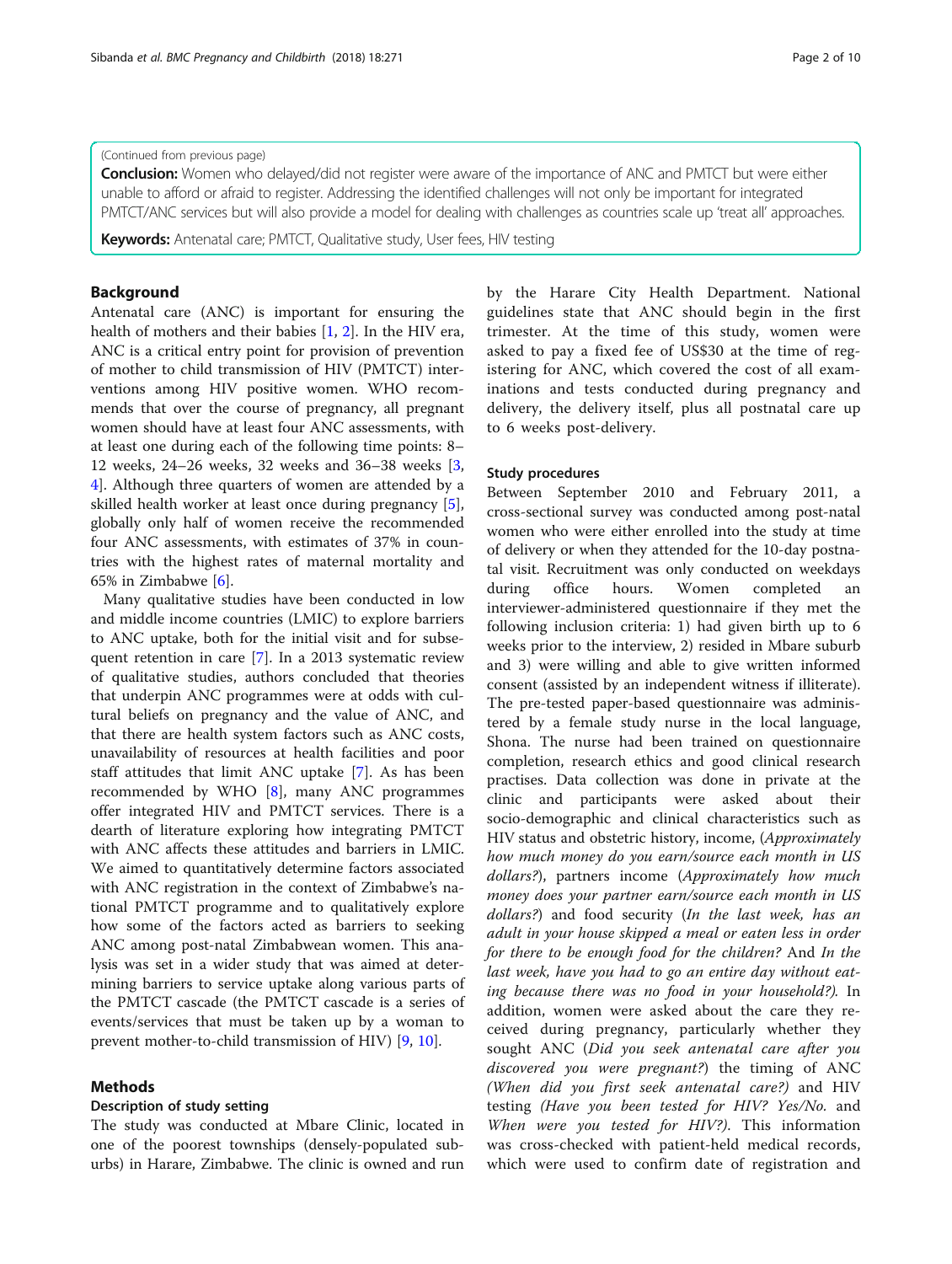#### (Continued from previous page)

Conclusion: Women who delayed/did not register were aware of the importance of ANC and PMTCT but were either unable to afford or afraid to register. Addressing the identified challenges will not only be important for integrated PMTCT/ANC services but will also provide a model for dealing with challenges as countries scale up 'treat all' approaches.

Keywords: Antenatal care; PMTCT, Qualitative study, User fees, HIV testing

### Background

Antenatal care (ANC) is important for ensuring the health of mothers and their babies [\[1](#page-8-0), [2](#page-8-0)]. In the HIV era, ANC is a critical entry point for provision of prevention of mother to child transmission of HIV (PMTCT) interventions among HIV positive women. WHO recommends that over the course of pregnancy, all pregnant women should have at least four ANC assessments, with at least one during each of the following time points: 8– 12 weeks, 24–26 weeks, 32 weeks and 36–38 weeks [\[3](#page-8-0), [4\]](#page-9-0). Although three quarters of women are attended by a skilled health worker at least once during pregnancy [\[5](#page-9-0)], globally only half of women receive the recommended four ANC assessments, with estimates of 37% in countries with the highest rates of maternal mortality and 65% in Zimbabwe [\[6\]](#page-9-0).

Many qualitative studies have been conducted in low and middle income countries (LMIC) to explore barriers to ANC uptake, both for the initial visit and for subsequent retention in care [\[7](#page-9-0)]. In a 2013 systematic review of qualitative studies, authors concluded that theories that underpin ANC programmes were at odds with cultural beliefs on pregnancy and the value of ANC, and that there are health system factors such as ANC costs, unavailability of resources at health facilities and poor staff attitudes that limit ANC uptake [[7\]](#page-9-0). As has been recommended by WHO [\[8](#page-9-0)], many ANC programmes offer integrated HIV and PMTCT services. There is a dearth of literature exploring how integrating PMTCT with ANC affects these attitudes and barriers in LMIC. We aimed to quantitatively determine factors associated with ANC registration in the context of Zimbabwe's national PMTCT programme and to qualitatively explore how some of the factors acted as barriers to seeking ANC among post-natal Zimbabwean women. This analysis was set in a wider study that was aimed at determining barriers to service uptake along various parts of the PMTCT cascade (the PMTCT cascade is a series of events/services that must be taken up by a woman to prevent mother-to-child transmission of HIV) [\[9](#page-9-0), [10](#page-9-0)].

### Methods

### Description of study setting

The study was conducted at Mbare Clinic, located in one of the poorest townships (densely-populated suburbs) in Harare, Zimbabwe. The clinic is owned and run

by the Harare City Health Department. National guidelines state that ANC should begin in the first trimester. At the time of this study, women were asked to pay a fixed fee of US\$30 at the time of registering for ANC, which covered the cost of all examinations and tests conducted during pregnancy and delivery, the delivery itself, plus all postnatal care up to 6 weeks post-delivery.

#### Study procedures

Between September 2010 and February 2011, a cross-sectional survey was conducted among post-natal women who were either enrolled into the study at time of delivery or when they attended for the 10-day postnatal visit. Recruitment was only conducted on weekdays during office hours. Women completed an interviewer-administered questionnaire if they met the following inclusion criteria: 1) had given birth up to 6 weeks prior to the interview, 2) resided in Mbare suburb and 3) were willing and able to give written informed consent (assisted by an independent witness if illiterate). The pre-tested paper-based questionnaire was administered by a female study nurse in the local language, Shona. The nurse had been trained on questionnaire completion, research ethics and good clinical research practises. Data collection was done in private at the clinic and participants were asked about their socio-demographic and clinical characteristics such as HIV status and obstetric history, income, (Approximately how much money do you earn/source each month in US dollars?), partners income (Approximately how much money does your partner earn/source each month in US dollars?) and food security (In the last week, has an adult in your house skipped a meal or eaten less in order for there to be enough food for the children? And In the last week, have you had to go an entire day without eating because there was no food in your household?). In addition, women were asked about the care they received during pregnancy, particularly whether they sought ANC (Did you seek antenatal care after you discovered you were pregnant?) the timing of ANC (When did you first seek antenatal care?) and HIV testing (Have you been tested for HIV? Yes/No. and When were you tested for HIV?). This information was cross-checked with patient-held medical records, which were used to confirm date of registration and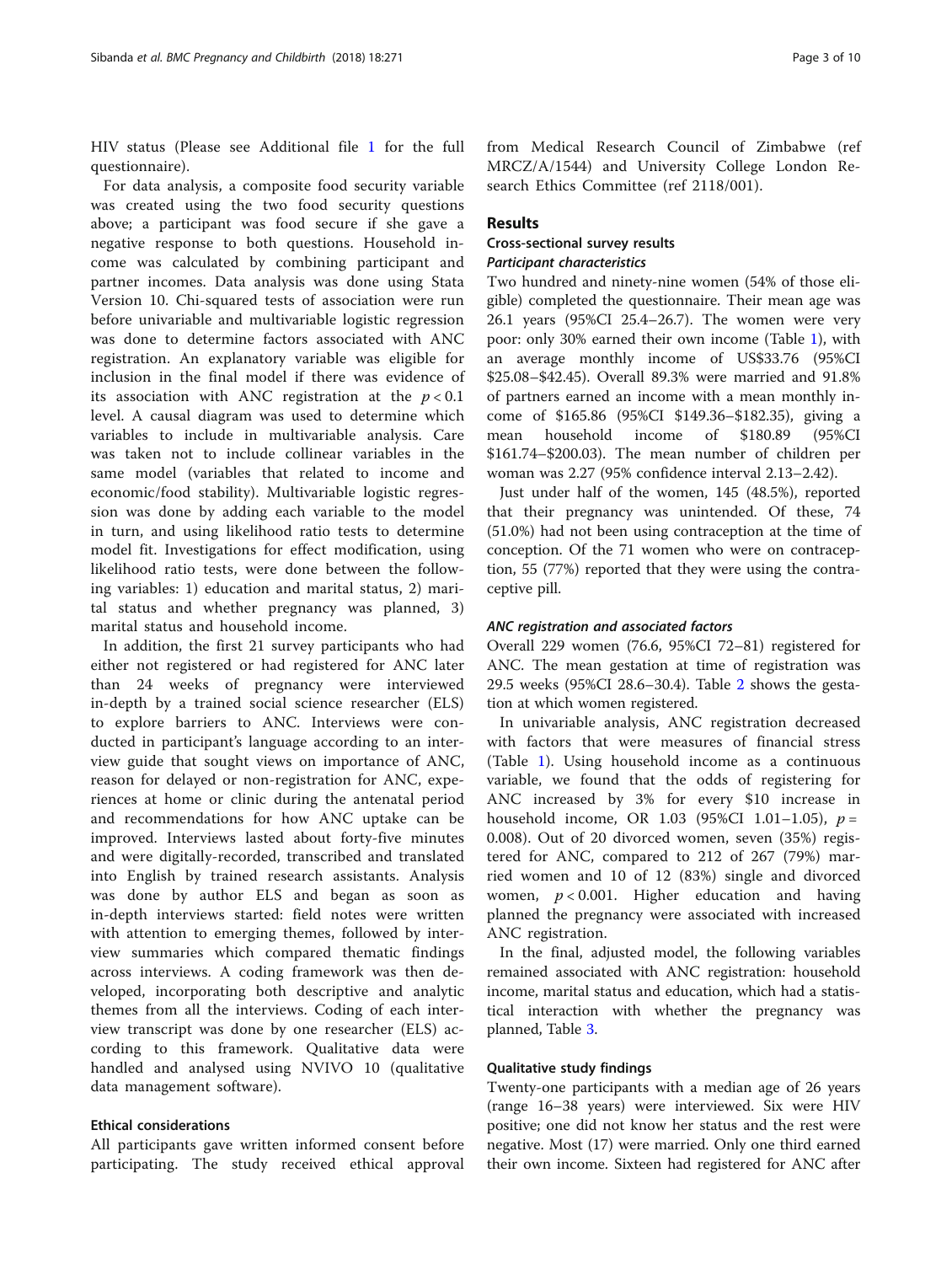HIV status (Please see Additional file [1](#page-8-0) for the full questionnaire).

For data analysis, a composite food security variable was created using the two food security questions above; a participant was food secure if she gave a negative response to both questions. Household income was calculated by combining participant and partner incomes. Data analysis was done using Stata Version 10. Chi-squared tests of association were run before univariable and multivariable logistic regression was done to determine factors associated with ANC registration. An explanatory variable was eligible for inclusion in the final model if there was evidence of its association with ANC registration at the  $p < 0.1$ level. A causal diagram was used to determine which variables to include in multivariable analysis. Care was taken not to include collinear variables in the same model (variables that related to income and economic/food stability). Multivariable logistic regression was done by adding each variable to the model in turn, and using likelihood ratio tests to determine model fit. Investigations for effect modification, using likelihood ratio tests, were done between the following variables: 1) education and marital status, 2) marital status and whether pregnancy was planned, 3) marital status and household income.

In addition, the first 21 survey participants who had either not registered or had registered for ANC later than 24 weeks of pregnancy were interviewed in-depth by a trained social science researcher (ELS) to explore barriers to ANC. Interviews were conducted in participant's language according to an interview guide that sought views on importance of ANC, reason for delayed or non-registration for ANC, experiences at home or clinic during the antenatal period and recommendations for how ANC uptake can be improved. Interviews lasted about forty-five minutes and were digitally-recorded, transcribed and translated into English by trained research assistants. Analysis was done by author ELS and began as soon as in-depth interviews started: field notes were written with attention to emerging themes, followed by interview summaries which compared thematic findings across interviews. A coding framework was then developed, incorporating both descriptive and analytic themes from all the interviews. Coding of each interview transcript was done by one researcher (ELS) according to this framework. Qualitative data were handled and analysed using NVIVO 10 (qualitative data management software).

### Ethical considerations

All participants gave written informed consent before participating. The study received ethical approval

from Medical Research Council of Zimbabwe (ref MRCZ/A/1544) and University College London Research Ethics Committee (ref 2118/001).

### Results

### Cross-sectional survey results Participant characteristics

Two hundred and ninety-nine women (54% of those eligible) completed the questionnaire. Their mean age was 26.1 years (95%CI 25.4–26.7). The women were very poor: only 30% earned their own income (Table [1\)](#page-3-0), with an average monthly income of US\$33.76 (95%CI \$25.08–\$42.45). Overall 89.3% were married and 91.8% of partners earned an income with a mean monthly income of \$165.86 (95%CI \$149.36–\$182.35), giving a mean household income of \$180.89 (95%CI \$161.74–\$200.03). The mean number of children per woman was 2.27 (95% confidence interval 2.13–2.42).

Just under half of the women, 145 (48.5%), reported that their pregnancy was unintended. Of these, 74 (51.0%) had not been using contraception at the time of conception. Of the 71 women who were on contraception, 55 (77%) reported that they were using the contraceptive pill.

### ANC registration and associated factors

Overall 229 women (76.6, 95%CI 72–81) registered for ANC. The mean gestation at time of registration was 29.5 weeks (95%CI 28.6–30.4). Table [2](#page-4-0) shows the gestation at which women registered.

In univariable analysis, ANC registration decreased with factors that were measures of financial stress (Table [1](#page-3-0)). Using household income as a continuous variable, we found that the odds of registering for ANC increased by 3% for every \$10 increase in household income, OR 1.03 (95%CI 1.01-1.05),  $p =$ 0.008). Out of 20 divorced women, seven (35%) registered for ANC, compared to 212 of 267 (79%) married women and 10 of 12 (83%) single and divorced women,  $p < 0.001$ . Higher education and having planned the pregnancy were associated with increased ANC registration.

In the final, adjusted model, the following variables remained associated with ANC registration: household income, marital status and education, which had a statistical interaction with whether the pregnancy was planned, Table [3.](#page-4-0)

### Qualitative study findings

Twenty-one participants with a median age of 26 years (range 16–38 years) were interviewed. Six were HIV positive; one did not know her status and the rest were negative. Most (17) were married. Only one third earned their own income. Sixteen had registered for ANC after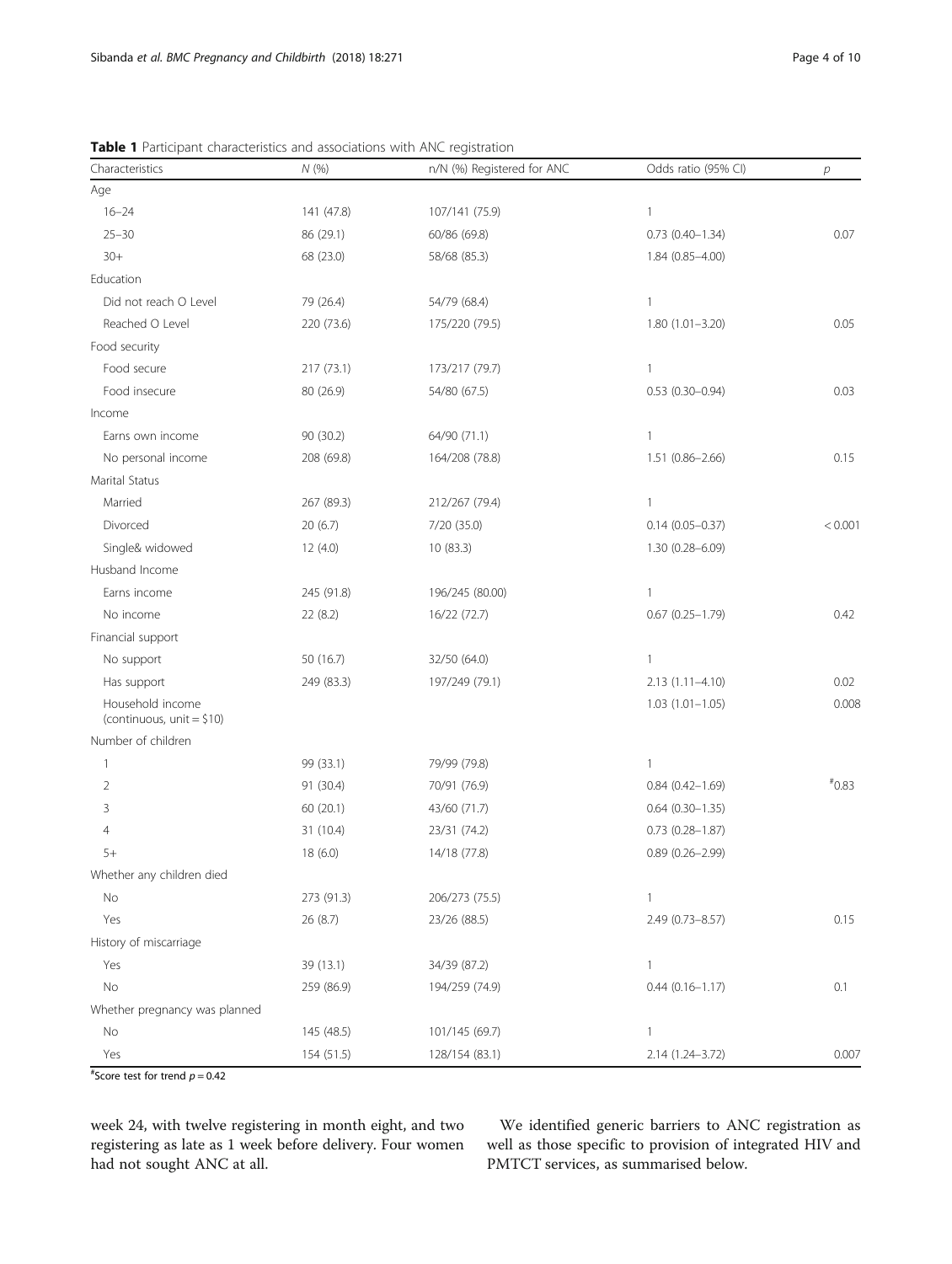| Characteristics                                 | N(%)       | n/N (%) Registered for ANC | Odds ratio (95% CI)    | $\overline{p}$ |
|-------------------------------------------------|------------|----------------------------|------------------------|----------------|
| Age                                             |            |                            |                        |                |
| $16 - 24$                                       | 141 (47.8) | 107/141 (75.9)             | $\mathbf{1}$           |                |
| $25 - 30$                                       | 86 (29.1)  | 60/86 (69.8)               | $0.73(0.40 - 1.34)$    | 0.07           |
| $30+$                                           | 68 (23.0)  | 58/68 (85.3)               | 1.84 (0.85-4.00)       |                |
| Education                                       |            |                            |                        |                |
| Did not reach O Level                           | 79 (26.4)  | 54/79 (68.4)               | $\mathbf{1}$           |                |
| Reached O Level                                 | 220 (73.6) | 175/220 (79.5)             | $1.80(1.01 - 3.20)$    | 0.05           |
| Food security                                   |            |                            |                        |                |
| Food secure                                     | 217 (73.1) | 173/217 (79.7)             | $\mathbf{1}$           |                |
| Food insecure                                   | 80 (26.9)  | 54/80 (67.5)               | $0.53(0.30-0.94)$      | 0.03           |
| Income                                          |            |                            |                        |                |
| Earns own income                                | 90 (30.2)  | 64/90 (71.1)               | $\mathbf{1}$           |                |
| No personal income                              | 208 (69.8) | 164/208 (78.8)             | 1.51 (0.86-2.66)       | 0.15           |
| Marital Status                                  |            |                            |                        |                |
| Married                                         | 267 (89.3) | 212/267 (79.4)             | $\mathbf{1}$           |                |
| Divorced                                        | 20(6.7)    | 7/20 (35.0)                | $0.14(0.05 - 0.37)$    | < 0.001        |
| Single& widowed                                 | 12(4.0)    | 10(83.3)                   | 1.30 (0.28-6.09)       |                |
| Husband Income                                  |            |                            |                        |                |
| Earns income                                    | 245 (91.8) | 196/245 (80.00)            | $\mathbf{1}$           |                |
| No income                                       | 22 (8.2)   | 16/22 (72.7)               | $0.67$ $(0.25 - 1.79)$ | 0.42           |
| Financial support                               |            |                            |                        |                |
| No support                                      | 50 (16.7)  | 32/50 (64.0)               | $\mathbf{1}$           |                |
| Has support                                     | 249 (83.3) | 197/249 (79.1)             | $2.13(1.11 - 4.10)$    | 0.02           |
| Household income<br>(continuous, unit $=$ \$10) |            |                            | $1.03(1.01 - 1.05)$    | 0.008          |
| Number of children                              |            |                            |                        |                |
| $\mathbf{1}$                                    | 99 (33.1)  | 79/99 (79.8)               | 1                      |                |
| $\overline{2}$                                  | 91 (30.4)  | 70/91 (76.9)               | $0.84$ $(0.42 - 1.69)$ | $*0.83$        |
| 3                                               | 60 (20.1)  | 43/60 (71.7)               | $0.64$ $(0.30-1.35)$   |                |
| $\overline{4}$                                  | 31 (10.4)  | 23/31 (74.2)               | $0.73$ $(0.28 - 1.87)$ |                |
| $5+$                                            | 18 (6.0)   | 14/18 (77.8)               | $0.89(0.26 - 2.99)$    |                |
| Whether any children died                       |            |                            |                        |                |
| No                                              | 273 (91.3) | 206/273 (75.5)             | 1                      |                |
| Yes                                             | 26 (8.7)   | 23/26 (88.5)               | 2.49 (0.73-8.57)       | 0.15           |
| History of miscarriage                          |            |                            |                        |                |
| Yes                                             | 39 (13.1)  | 34/39 (87.2)               | $\mathbf{1}$           |                |
| $\rm No$                                        | 259 (86.9) | 194/259 (74.9)             | $0.44(0.16 - 1.17)$    | 0.1            |
| Whether pregnancy was planned                   |            |                            |                        |                |
| No                                              | 145 (48.5) | 101/145 (69.7)             | $\mathbf{1}$           |                |
| Yes                                             | 154 (51.5) | 128/154 (83.1)             | 2.14 (1.24-3.72)       | 0.007          |

<span id="page-3-0"></span>Table 1 Participant characteristics and associations with ANC registration

 $*$ Score test for trend  $p = 0.42$ 

week 24, with twelve registering in month eight, and two registering as late as 1 week before delivery. Four women had not sought ANC at all.

We identified generic barriers to ANC registration as well as those specific to provision of integrated HIV and PMTCT services, as summarised below.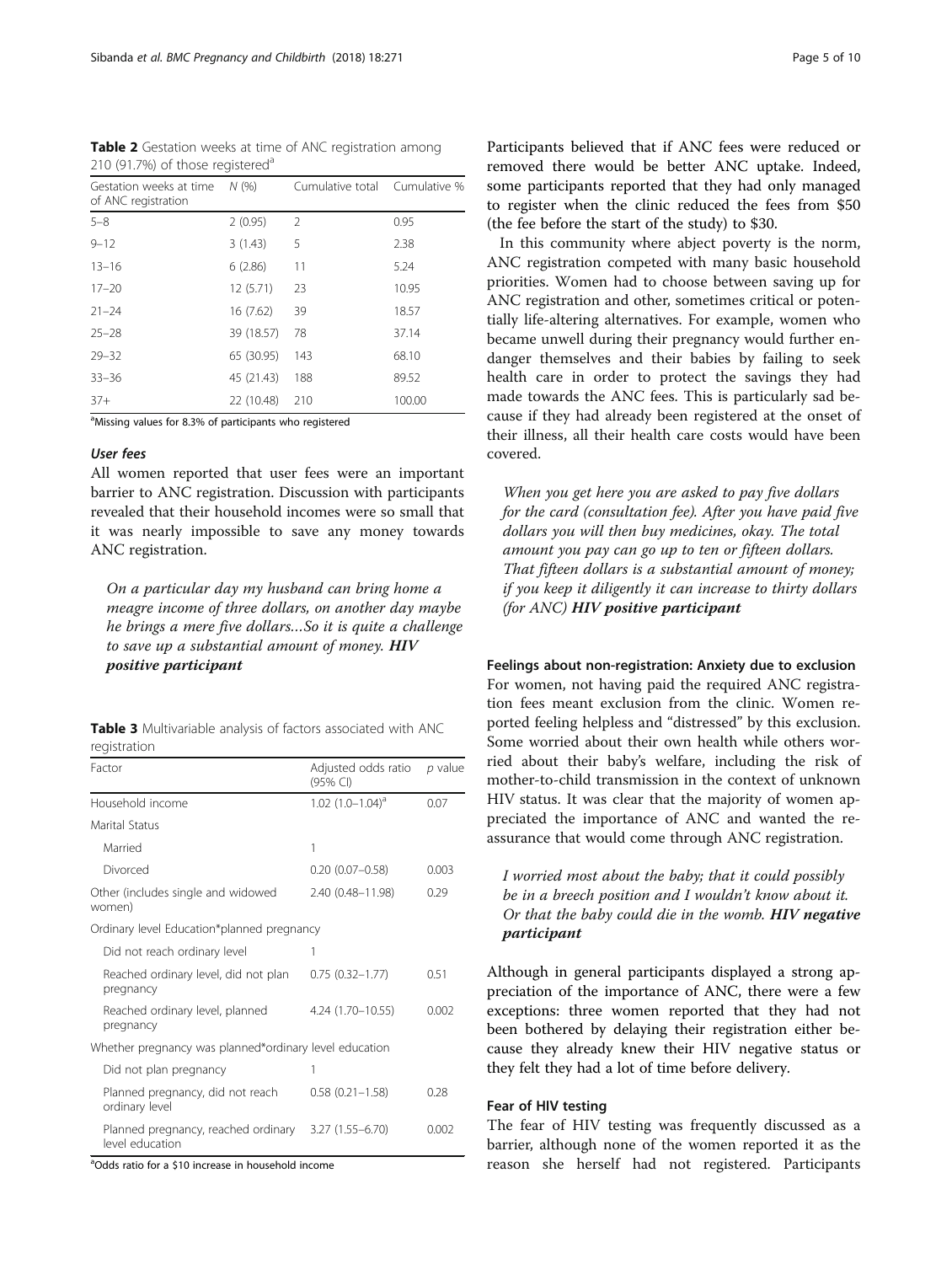<span id="page-4-0"></span>Table 2 Gestation weeks at time of ANC registration among 210 (91.7%) of those registered<sup>a</sup>

| Gestation weeks at time<br>of ANC registration | N(%        | Cumulative total Cumulative % |        |
|------------------------------------------------|------------|-------------------------------|--------|
| $5 - 8$                                        | 2(0.95)    | 2                             | 0.95   |
| $9 - 12$                                       | 3(1.43)    | 5                             | 2.38   |
| $13 - 16$                                      | 6(2.86)    | 11                            | 5.24   |
| $17 - 20$                                      | 12(5.71)   | 23                            | 10.95  |
| $21 - 24$                                      | 16 (7.62)  | 39                            | 18.57  |
| $25 - 28$                                      | 39 (18.57) | 78                            | 37.14  |
| $29 - 32$                                      | 65 (30.95) | 143                           | 68.10  |
| $33 - 36$                                      | 45 (21.43) | 188                           | 89.52  |
| $37+$                                          | 22 (10.48) | 210                           | 100.00 |

<sup>a</sup>Missing values for 8.3% of participants who registered

#### User fees

All women reported that user fees were an important barrier to ANC registration. Discussion with participants revealed that their household incomes were so small that it was nearly impossible to save any money towards ANC registration.

On a particular day my husband can bring home a meagre income of three dollars, on another day maybe he brings a mere five dollars…So it is quite a challenge to save up a substantial amount of money. HIV positive participant

| Table 3 Multivariable analysis of factors associated with ANC |  |  |  |
|---------------------------------------------------------------|--|--|--|
| registration                                                  |  |  |  |

| Factor                                                 | Adjusted odds ratio<br>(95% CI) | p value |  |  |
|--------------------------------------------------------|---------------------------------|---------|--|--|
| Household income                                       | $1.02$ $(1.0-1.04)^a$           | 0.07    |  |  |
| Marital Status                                         |                                 |         |  |  |
| Married                                                | 1                               |         |  |  |
| Divorced                                               | $0.20(0.07-0.58)$               | 0.003   |  |  |
| Other (includes single and widowed<br>women)           | 2.40 (0.48-11.98)               | 0.29    |  |  |
| Ordinary level Education*planned pregnancy             |                                 |         |  |  |
| Did not reach ordinary level                           | 1                               |         |  |  |
| Reached ordinary level, did not plan<br>pregnancy      | $0.75(0.32 - 1.77)$             | 0.51    |  |  |
| Reached ordinary level, planned<br>pregnancy           | 4.24 (1.70-10.55)               | 0.002   |  |  |
| Whether pregnancy was planned*ordinary level education |                                 |         |  |  |
| Did not plan pregnancy                                 |                                 |         |  |  |
| Planned pregnancy, did not reach<br>ordinary level     | $0.58$ $(0.21 - 1.58)$          | 0.28    |  |  |
| Planned pregnancy, reached ordinary<br>level education | $3.27(1.55 - 6.70)$             | 0.002   |  |  |

<sup>a</sup>Odds ratio for a \$10 increase in household income

Participants believed that if ANC fees were reduced or removed there would be better ANC uptake. Indeed, some participants reported that they had only managed to register when the clinic reduced the fees from \$50 (the fee before the start of the study) to \$30.

In this community where abject poverty is the norm, ANC registration competed with many basic household priorities. Women had to choose between saving up for ANC registration and other, sometimes critical or potentially life-altering alternatives. For example, women who became unwell during their pregnancy would further endanger themselves and their babies by failing to seek health care in order to protect the savings they had made towards the ANC fees. This is particularly sad because if they had already been registered at the onset of their illness, all their health care costs would have been covered.

When you get here you are asked to pay five dollars for the card (consultation fee). After you have paid five dollars you will then buy medicines, okay. The total amount you pay can go up to ten or fifteen dollars. That fifteen dollars is a substantial amount of money; if you keep it diligently it can increase to thirty dollars (for ANC) HIV positive participant

Feelings about non-registration: Anxiety due to exclusion For women, not having paid the required ANC registration fees meant exclusion from the clinic. Women reported feeling helpless and "distressed" by this exclusion. Some worried about their own health while others worried about their baby's welfare, including the risk of mother-to-child transmission in the context of unknown HIV status. It was clear that the majority of women appreciated the importance of ANC and wanted the reassurance that would come through ANC registration.

## I worried most about the baby; that it could possibly be in a breech position and I wouldn't know about it. Or that the baby could die in the womb. HIV negative participant

Although in general participants displayed a strong appreciation of the importance of ANC, there were a few exceptions: three women reported that they had not been bothered by delaying their registration either because they already knew their HIV negative status or they felt they had a lot of time before delivery.

### Fear of HIV testing

The fear of HIV testing was frequently discussed as a barrier, although none of the women reported it as the reason she herself had not registered. Participants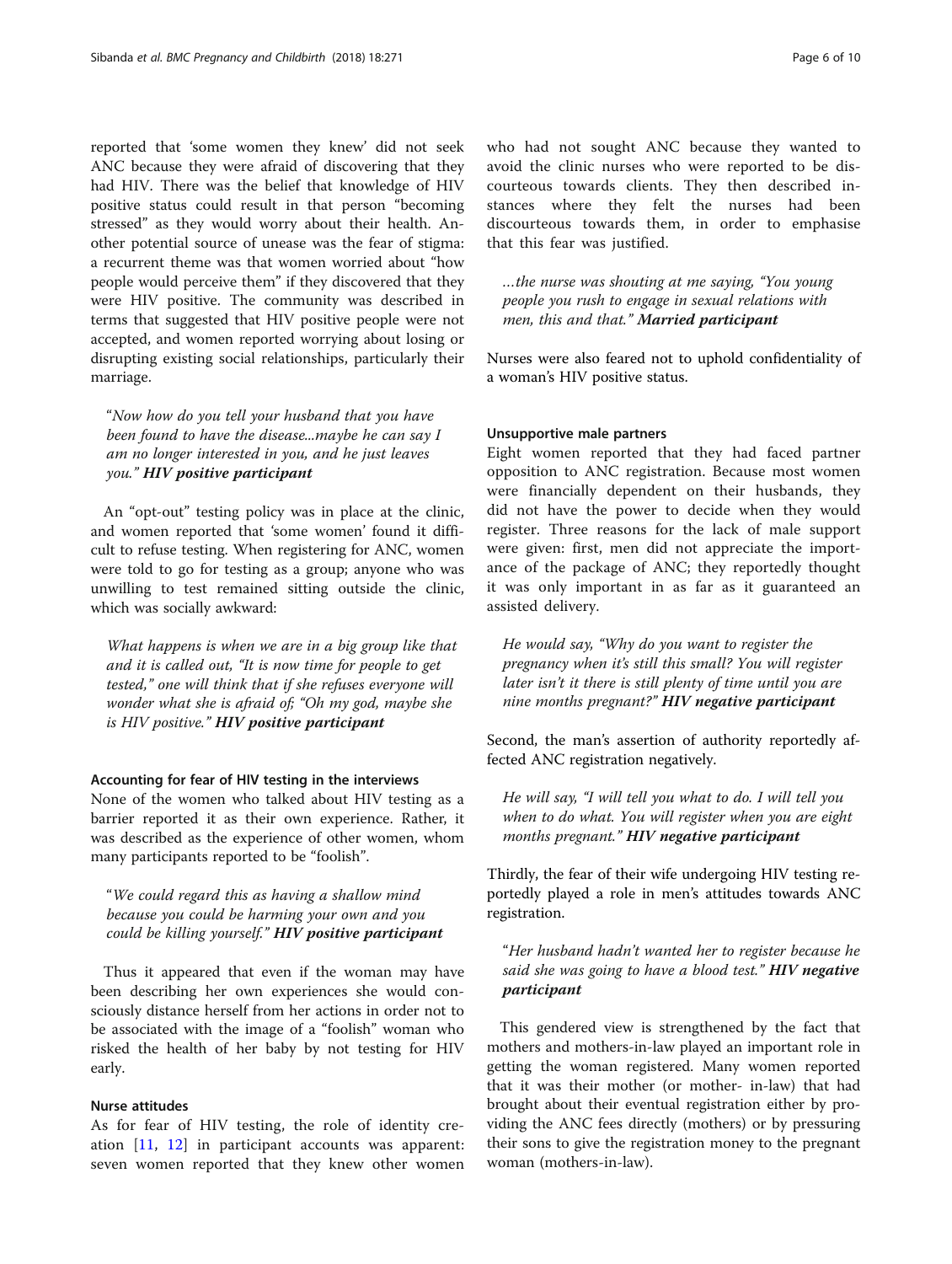reported that 'some women they knew' did not seek ANC because they were afraid of discovering that they had HIV. There was the belief that knowledge of HIV positive status could result in that person "becoming stressed" as they would worry about their health. Another potential source of unease was the fear of stigma: a recurrent theme was that women worried about "how people would perceive them" if they discovered that they were HIV positive. The community was described in terms that suggested that HIV positive people were not accepted, and women reported worrying about losing or disrupting existing social relationships, particularly their marriage.

"Now how do you tell your husband that you have been found to have the disease...maybe he can say I am no longer interested in you, and he just leaves you." HIV positive participant

An "opt-out" testing policy was in place at the clinic, and women reported that 'some women' found it difficult to refuse testing. When registering for ANC, women were told to go for testing as a group; anyone who was unwilling to test remained sitting outside the clinic, which was socially awkward:

What happens is when we are in a big group like that and it is called out, "It is now time for people to get tested," one will think that if she refuses everyone will wonder what she is afraid of; "Oh my god, maybe she is HIV positive." HIV positive participant

#### Accounting for fear of HIV testing in the interviews

None of the women who talked about HIV testing as a barrier reported it as their own experience. Rather, it was described as the experience of other women, whom many participants reported to be "foolish".

"We could regard this as having a shallow mind because you could be harming your own and you could be killing yourself." HIV positive participant

Thus it appeared that even if the woman may have been describing her own experiences she would consciously distance herself from her actions in order not to be associated with the image of a "foolish" woman who risked the health of her baby by not testing for HIV early.

### Nurse attitudes

As for fear of HIV testing, the role of identity creation [[11,](#page-9-0) [12\]](#page-9-0) in participant accounts was apparent: seven women reported that they knew other women who had not sought ANC because they wanted to avoid the clinic nurses who were reported to be discourteous towards clients. They then described instances where they felt the nurses had been discourteous towards them, in order to emphasise that this fear was justified.

…the nurse was shouting at me saying, "You young people you rush to engage in sexual relations with men, this and that." Married participant

Nurses were also feared not to uphold confidentiality of a woman's HIV positive status.

### Unsupportive male partners

Eight women reported that they had faced partner opposition to ANC registration. Because most women were financially dependent on their husbands, they did not have the power to decide when they would register. Three reasons for the lack of male support were given: first, men did not appreciate the importance of the package of ANC; they reportedly thought it was only important in as far as it guaranteed an assisted delivery.

He would say, "Why do you want to register the pregnancy when it's still this small? You will register later isn't it there is still plenty of time until you are nine months pregnant?" HIV negative participant

Second, the man's assertion of authority reportedly affected ANC registration negatively.

He will say, "I will tell you what to do. I will tell you when to do what. You will register when you are eight months pregnant." HIV negative participant

Thirdly, the fear of their wife undergoing HIV testing reportedly played a role in men's attitudes towards ANC registration.

"Her husband hadn't wanted her to register because he said she was going to have a blood test." HIV negative participant

This gendered view is strengthened by the fact that mothers and mothers-in-law played an important role in getting the woman registered. Many women reported that it was their mother (or mother- in-law) that had brought about their eventual registration either by providing the ANC fees directly (mothers) or by pressuring their sons to give the registration money to the pregnant woman (mothers-in-law).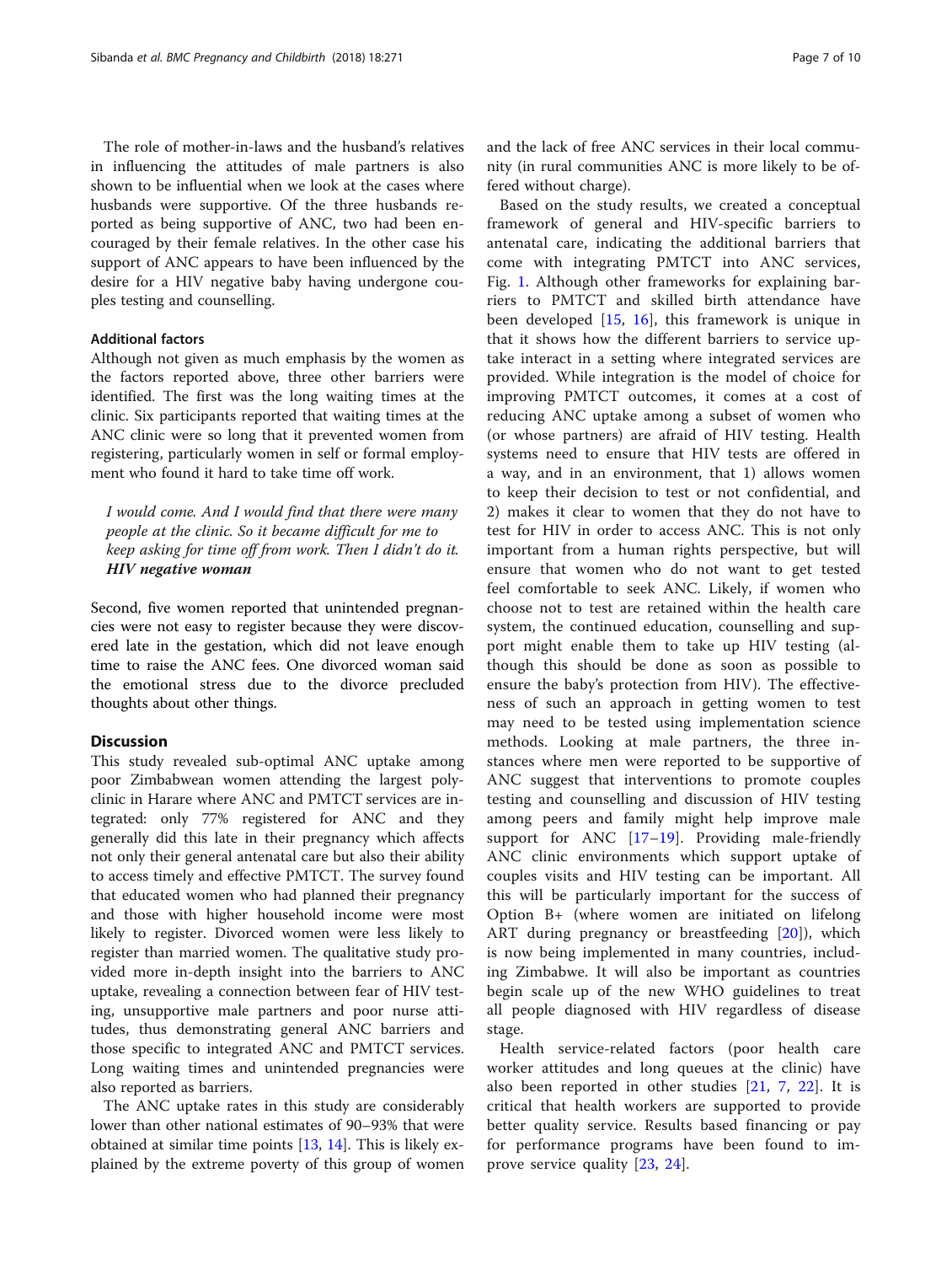The role of mother-in-laws and the husband's relatives in influencing the attitudes of male partners is also shown to be influential when we look at the cases where husbands were supportive. Of the three husbands reported as being supportive of ANC, two had been encouraged by their female relatives. In the other case his support of ANC appears to have been influenced by the desire for a HIV negative baby having undergone couples testing and counselling.

### Additional factors

Although not given as much emphasis by the women as the factors reported above, three other barriers were identified. The first was the long waiting times at the clinic. Six participants reported that waiting times at the ANC clinic were so long that it prevented women from registering, particularly women in self or formal employment who found it hard to take time off work.

I would come. And I would find that there were many people at the clinic. So it became difficult for me to keep asking for time off from work. Then I didn't do it. HIV negative woman

Second, five women reported that unintended pregnancies were not easy to register because they were discovered late in the gestation, which did not leave enough time to raise the ANC fees. One divorced woman said the emotional stress due to the divorce precluded thoughts about other things.

### **Discussion**

This study revealed sub-optimal ANC uptake among poor Zimbabwean women attending the largest polyclinic in Harare where ANC and PMTCT services are integrated: only 77% registered for ANC and they generally did this late in their pregnancy which affects not only their general antenatal care but also their ability to access timely and effective PMTCT. The survey found that educated women who had planned their pregnancy and those with higher household income were most likely to register. Divorced women were less likely to register than married women. The qualitative study provided more in-depth insight into the barriers to ANC uptake, revealing a connection between fear of HIV testing, unsupportive male partners and poor nurse attitudes, thus demonstrating general ANC barriers and those specific to integrated ANC and PMTCT services. Long waiting times and unintended pregnancies were also reported as barriers.

The ANC uptake rates in this study are considerably lower than other national estimates of 90–93% that were obtained at similar time points [[13](#page-9-0), [14](#page-9-0)]. This is likely explained by the extreme poverty of this group of women

and the lack of free ANC services in their local community (in rural communities ANC is more likely to be offered without charge).

Based on the study results, we created a conceptual framework of general and HIV-specific barriers to antenatal care, indicating the additional barriers that come with integrating PMTCT into ANC services, Fig. [1.](#page-7-0) Although other frameworks for explaining barriers to PMTCT and skilled birth attendance have been developed [[15](#page-9-0), [16](#page-9-0)], this framework is unique in that it shows how the different barriers to service uptake interact in a setting where integrated services are provided. While integration is the model of choice for improving PMTCT outcomes, it comes at a cost of reducing ANC uptake among a subset of women who (or whose partners) are afraid of HIV testing. Health systems need to ensure that HIV tests are offered in a way, and in an environment, that 1) allows women to keep their decision to test or not confidential, and 2) makes it clear to women that they do not have to test for HIV in order to access ANC. This is not only important from a human rights perspective, but will ensure that women who do not want to get tested feel comfortable to seek ANC. Likely, if women who choose not to test are retained within the health care system, the continued education, counselling and support might enable them to take up HIV testing (although this should be done as soon as possible to ensure the baby's protection from HIV). The effectiveness of such an approach in getting women to test may need to be tested using implementation science methods. Looking at male partners, the three instances where men were reported to be supportive of ANC suggest that interventions to promote couples testing and counselling and discussion of HIV testing among peers and family might help improve male support for ANC [\[17](#page-9-0)–[19](#page-9-0)]. Providing male-friendly ANC clinic environments which support uptake of couples visits and HIV testing can be important. All this will be particularly important for the success of Option B+ (where women are initiated on lifelong ART during pregnancy or breastfeeding [[20\]](#page-9-0)), which is now being implemented in many countries, including Zimbabwe. It will also be important as countries begin scale up of the new WHO guidelines to treat all people diagnosed with HIV regardless of disease stage.

Health service-related factors (poor health care worker attitudes and long queues at the clinic) have also been reported in other studies [[21,](#page-9-0) [7](#page-9-0), [22\]](#page-9-0). It is critical that health workers are supported to provide better quality service. Results based financing or pay for performance programs have been found to improve service quality [[23](#page-9-0), [24](#page-9-0)].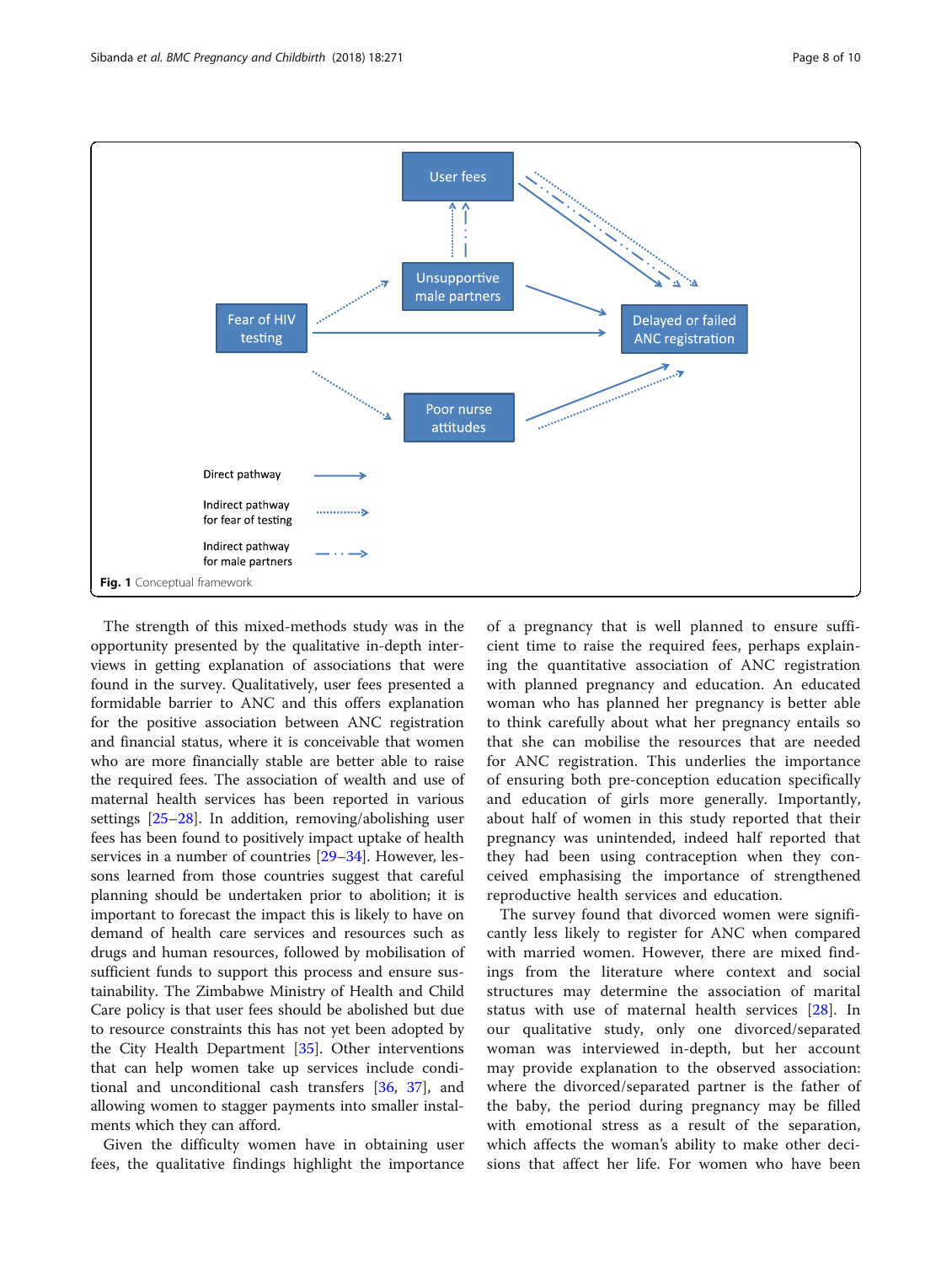<span id="page-7-0"></span>

The strength of this mixed-methods study was in the opportunity presented by the qualitative in-depth interviews in getting explanation of associations that were found in the survey. Qualitatively, user fees presented a formidable barrier to ANC and this offers explanation for the positive association between ANC registration and financial status, where it is conceivable that women who are more financially stable are better able to raise the required fees. The association of wealth and use of maternal health services has been reported in various settings [[25](#page-9-0)–[28](#page-9-0)]. In addition, removing/abolishing user fees has been found to positively impact uptake of health services in a number of countries [[29](#page-9-0)–[34](#page-9-0)]. However, lessons learned from those countries suggest that careful planning should be undertaken prior to abolition; it is important to forecast the impact this is likely to have on demand of health care services and resources such as drugs and human resources, followed by mobilisation of sufficient funds to support this process and ensure sustainability. The Zimbabwe Ministry of Health and Child Care policy is that user fees should be abolished but due to resource constraints this has not yet been adopted by the City Health Department [[35\]](#page-9-0). Other interventions that can help women take up services include conditional and unconditional cash transfers [[36,](#page-9-0) [37](#page-9-0)], and allowing women to stagger payments into smaller instalments which they can afford.

Given the difficulty women have in obtaining user fees, the qualitative findings highlight the importance

of a pregnancy that is well planned to ensure sufficient time to raise the required fees, perhaps explaining the quantitative association of ANC registration with planned pregnancy and education. An educated woman who has planned her pregnancy is better able to think carefully about what her pregnancy entails so that she can mobilise the resources that are needed for ANC registration. This underlies the importance of ensuring both pre-conception education specifically and education of girls more generally. Importantly, about half of women in this study reported that their pregnancy was unintended, indeed half reported that they had been using contraception when they conceived emphasising the importance of strengthened reproductive health services and education.

The survey found that divorced women were significantly less likely to register for ANC when compared with married women. However, there are mixed findings from the literature where context and social structures may determine the association of marital status with use of maternal health services [\[28](#page-9-0)]. In our qualitative study, only one divorced/separated woman was interviewed in-depth, but her account may provide explanation to the observed association: where the divorced/separated partner is the father of the baby, the period during pregnancy may be filled with emotional stress as a result of the separation, which affects the woman's ability to make other decisions that affect her life. For women who have been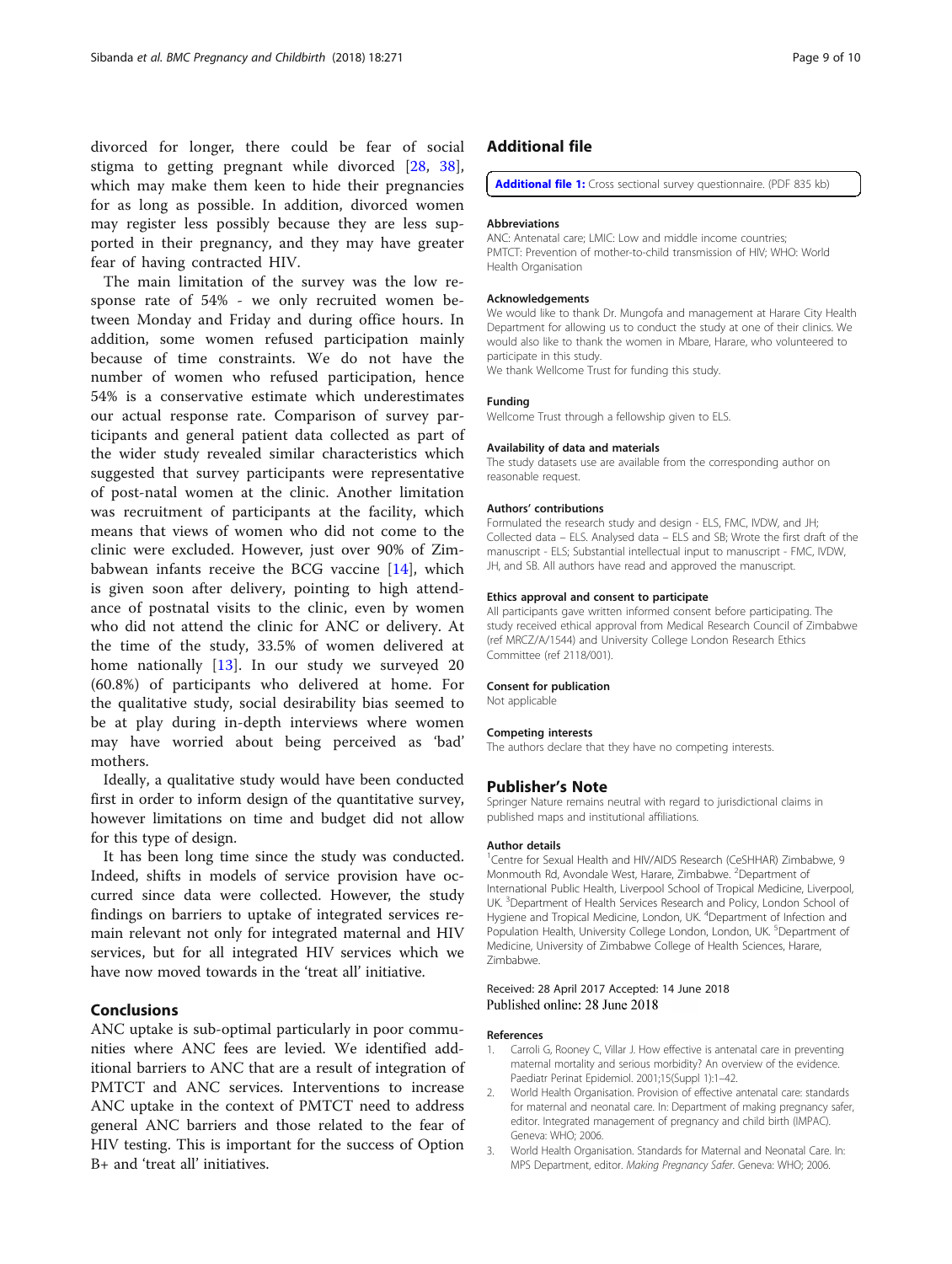<span id="page-8-0"></span>divorced for longer, there could be fear of social stigma to getting pregnant while divorced [[28,](#page-9-0) [38](#page-9-0)], which may make them keen to hide their pregnancies for as long as possible. In addition, divorced women may register less possibly because they are less supported in their pregnancy, and they may have greater fear of having contracted HIV.

The main limitation of the survey was the low response rate of 54% - we only recruited women between Monday and Friday and during office hours. In addition, some women refused participation mainly because of time constraints. We do not have the number of women who refused participation, hence 54% is a conservative estimate which underestimates our actual response rate. Comparison of survey participants and general patient data collected as part of the wider study revealed similar characteristics which suggested that survey participants were representative of post-natal women at the clinic. Another limitation was recruitment of participants at the facility, which means that views of women who did not come to the clinic were excluded. However, just over 90% of Zimbabwean infants receive the BCG vaccine [[14\]](#page-9-0), which is given soon after delivery, pointing to high attendance of postnatal visits to the clinic, even by women who did not attend the clinic for ANC or delivery. At the time of the study, 33.5% of women delivered at home nationally [[13\]](#page-9-0). In our study we surveyed 20 (60.8%) of participants who delivered at home. For the qualitative study, social desirability bias seemed to be at play during in-depth interviews where women may have worried about being perceived as 'bad' mothers.

Ideally, a qualitative study would have been conducted first in order to inform design of the quantitative survey, however limitations on time and budget did not allow for this type of design.

It has been long time since the study was conducted. Indeed, shifts in models of service provision have occurred since data were collected. However, the study findings on barriers to uptake of integrated services remain relevant not only for integrated maternal and HIV services, but for all integrated HIV services which we have now moved towards in the 'treat all' initiative.

### Conclusions

ANC uptake is sub-optimal particularly in poor communities where ANC fees are levied. We identified additional barriers to ANC that are a result of integration of PMTCT and ANC services. Interventions to increase ANC uptake in the context of PMTCT need to address general ANC barriers and those related to the fear of HIV testing. This is important for the success of Option B+ and 'treat all' initiatives.

### Additional file

[Additional file 1:](https://doi.org/10.1186/s12884-018-1898-7) Cross sectional survey questionnaire. (PDF 835 kb)

#### Abbreviations

ANC: Antenatal care; LMIC: Low and middle income countries; PMTCT: Prevention of mother-to-child transmission of HIV; WHO: World Health Organisation

#### Acknowledgements

We would like to thank Dr. Mungofa and management at Harare City Health Department for allowing us to conduct the study at one of their clinics. We would also like to thank the women in Mbare, Harare, who volunteered to participate in this study.

We thank Wellcome Trust for funding this study.

#### Funding

Wellcome Trust through a fellowship given to ELS.

#### Availability of data and materials

The study datasets use are available from the corresponding author on reasonable request.

#### Authors' contributions

Formulated the research study and design - ELS, FMC, IVDW, and JH; Collected data – ELS. Analysed data – ELS and SB; Wrote the first draft of the manuscript - ELS; Substantial intellectual input to manuscript - FMC, IVDW, JH, and SB. All authors have read and approved the manuscript.

#### Ethics approval and consent to participate

All participants gave written informed consent before participating. The study received ethical approval from Medical Research Council of Zimbabwe (ref MRCZ/A/1544) and University College London Research Ethics Committee (ref 2118/001).

#### Consent for publication

Not applicable

#### Competing interests

The authors declare that they have no competing interests.

#### Publisher's Note

Springer Nature remains neutral with regard to jurisdictional claims in published maps and institutional affiliations.

#### Author details

<sup>1</sup> Centre for Sexual Health and HIV/AIDS Research (CeSHHAR) Zimbabwe, 9 Monmouth Rd, Avondale West, Harare, Zimbabwe. <sup>2</sup>Department of International Public Health, Liverpool School of Tropical Medicine, Liverpool, UK. <sup>3</sup>Department of Health Services Research and Policy, London School of Hygiene and Tropical Medicine, London, UK. <sup>4</sup>Department of Infection and Population Health, University College London, London, UK.<sup>5</sup> Department of Medicine, University of Zimbabwe College of Health Sciences, Harare, Zimbabwe.

#### Received: 28 April 2017 Accepted: 14 June 2018 Published online: 28 June 2018

#### References

- 1. Carroli G, Rooney C, Villar J. How effective is antenatal care in preventing maternal mortality and serious morbidity? An overview of the evidence. Paediatr Perinat Epidemiol. 2001;15(Suppl 1):1–42.
- 2. World Health Organisation. Provision of effective antenatal care: standards for maternal and neonatal care. In: Department of making pregnancy safer, editor. Integrated management of pregnancy and child birth (IMPAC). Geneva: WHO; 2006.
- 3. World Health Organisation. Standards for Maternal and Neonatal Care. In: MPS Department, editor. Making Pregnancy Safer. Geneva: WHO; 2006.